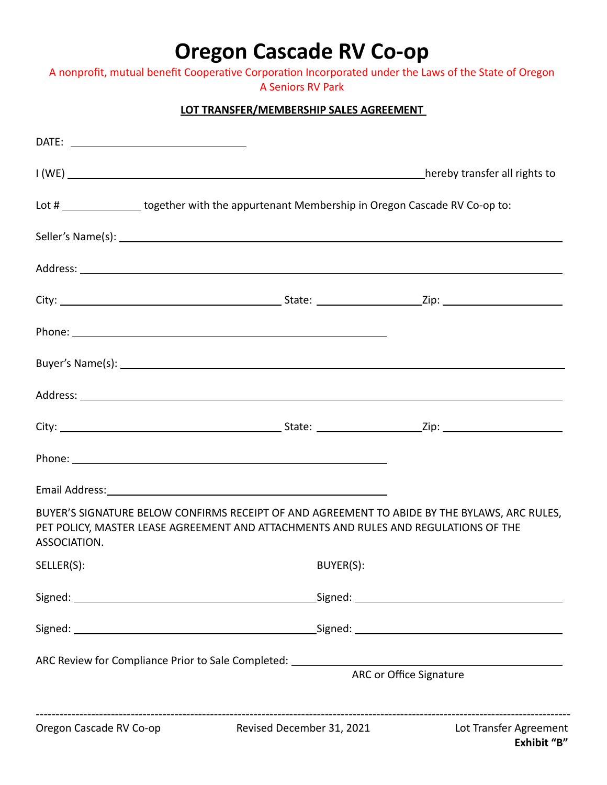## **Oregon Cascade RV Co-op**

A nonprofit, mutual benefit Cooperative Corporation Incorporated under the Laws of the State of Oregon A Seniors RV Park

## **LOT TRANSFER/MEMBERSHIP SALES AGREEMENT**

|              | Lot # ________________ together with the appurtenant Membership in Oregon Cascade RV Co-op to:                                                                                      |  |
|--------------|-------------------------------------------------------------------------------------------------------------------------------------------------------------------------------------|--|
|              |                                                                                                                                                                                     |  |
|              |                                                                                                                                                                                     |  |
|              |                                                                                                                                                                                     |  |
|              |                                                                                                                                                                                     |  |
|              |                                                                                                                                                                                     |  |
|              |                                                                                                                                                                                     |  |
|              |                                                                                                                                                                                     |  |
|              |                                                                                                                                                                                     |  |
|              |                                                                                                                                                                                     |  |
| ASSOCIATION. | BUYER'S SIGNATURE BELOW CONFIRMS RECEIPT OF AND AGREEMENT TO ABIDE BY THE BYLAWS, ARC RULES,<br>PET POLICY, MASTER LEASE AGREEMENT AND ATTACHMENTS AND RULES AND REGULATIONS OF THE |  |
| SELLER(S):   | BUYER(S):                                                                                                                                                                           |  |
|              |                                                                                                                                                                                     |  |
|              |                                                                                                                                                                                     |  |
|              | ARC or Office Signature                                                                                                                                                             |  |
|              | Oregon Cascade RV Co-op Revised December 31, 2021 Lot Transfer Agreement                                                                                                            |  |

**Exhibit "B"**